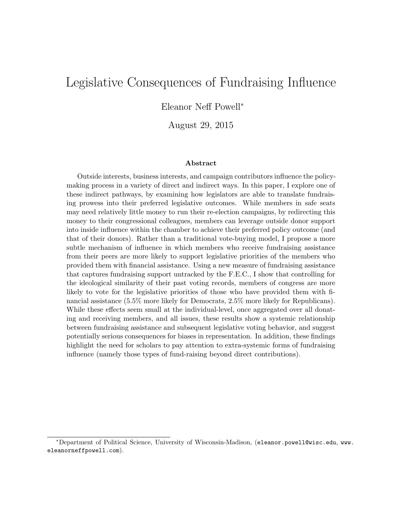# <span id="page-0-0"></span>Legislative Consequences of Fundraising Influence

Eleanor Neff Powell<sup>∗</sup>

August 29, 2015

#### Abstract

Outside interests, business interests, and campaign contributors influence the policymaking process in a variety of direct and indirect ways. In this paper, I explore one of these indirect pathways, by examining how legislators are able to translate fundraising prowess into their preferred legislative outcomes. While members in safe seats may need relatively little money to run their re-election campaigns, by redirecting this money to their congressional colleagues, members can leverage outside donor support into inside influence within the chamber to achieve their preferred policy outcome (and that of their donors). Rather than a traditional vote-buying model, I propose a more subtle mechanism of influence in which members who receive fundraising assistance from their peers are more likely to support legislative priorities of the members who provided them with financial assistance. Using a new measure of fundraising assistance that captures fundraising support untracked by the F.E.C., I show that controlling for the ideological similarity of their past voting records, members of congress are more likely to vote for the legislative priorities of those who have provided them with financial assistance (5.5% more likely for Democrats, 2.5% more likely for Republicans). While these effects seem small at the individual-level, once aggregated over all donating and receiving members, and all issues, these results show a systemic relationship between fundraising assistance and subsequent legislative voting behavior, and suggest potentially serious consequences for biases in representation. In addition, these findings highlight the need for scholars to pay attention to extra-systemic forms of fundraising influence (namely those types of fund-raising beyond direct contributions).

<sup>∗</sup>Department of Political Science, University of Wisconsin-Madison, ([eleanor.powell@wisc.edu](mailto:eleanor.powell@wisc.edu), [www.](www.eleanorneffpowell.com) [eleanorneffpowell.com](www.eleanorneffpowell.com)).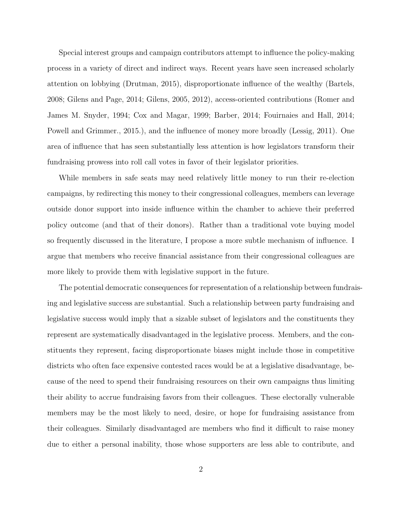Special interest groups and campaign contributors attempt to influence the policy-making process in a variety of direct and indirect ways. Recent years have seen increased scholarly attention on lobbying [\(Drutman, 2015\)](#page-21-0), disproportionate influence of the wealthy [\(Bartels,](#page-21-1) [2008;](#page-21-1) [Gilens and Page, 2014;](#page-22-0) [Gilens, 2005,](#page-22-1) [2012\)](#page-22-2), access-oriented contributions [\(Romer and](#page-23-0) [James M. Snyder, 1994;](#page-23-0) [Cox and Magar, 1999;](#page-21-2) [Barber, 2014;](#page-21-3) [Fouirnaies and Hall, 2014;](#page-22-3) [Powell and Grimmer., 2015.\)](#page-23-1), and the influence of money more broadly [\(Lessig, 2011\)](#page-22-4). One area of influence that has seen substantially less attention is how legislators transform their fundraising prowess into roll call votes in favor of their legislator priorities.

While members in safe seats may need relatively little money to run their re-election campaigns, by redirecting this money to their congressional colleagues, members can leverage outside donor support into inside influence within the chamber to achieve their preferred policy outcome (and that of their donors). Rather than a traditional vote buying model so frequently discussed in the literature, I propose a more subtle mechanism of influence. I argue that members who receive financial assistance from their congressional colleagues are more likely to provide them with legislative support in the future.

The potential democratic consequences for representation of a relationship between fundraising and legislative success are substantial. Such a relationship between party fundraising and legislative success would imply that a sizable subset of legislators and the constituents they represent are systematically disadvantaged in the legislative process. Members, and the constituents they represent, facing disproportionate biases might include those in competitive districts who often face expensive contested races would be at a legislative disadvantage, because of the need to spend their fundraising resources on their own campaigns thus limiting their ability to accrue fundraising favors from their colleagues. These electorally vulnerable members may be the most likely to need, desire, or hope for fundraising assistance from their colleagues. Similarly disadvantaged are members who find it difficult to raise money due to either a personal inability, those whose supporters are less able to contribute, and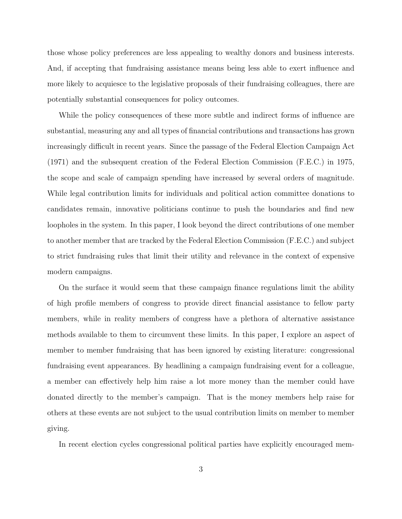those whose policy preferences are less appealing to wealthy donors and business interests. And, if accepting that fundraising assistance means being less able to exert influence and more likely to acquiesce to the legislative proposals of their fundraising colleagues, there are potentially substantial consequences for policy outcomes.

While the policy consequences of these more subtle and indirect forms of influence are substantial, measuring any and all types of financial contributions and transactions has grown increasingly difficult in recent years. Since the passage of the Federal Election Campaign Act (1971) and the subsequent creation of the Federal Election Commission (F.E.C.) in 1975, the scope and scale of campaign spending have increased by several orders of magnitude. While legal contribution limits for individuals and political action committee donations to candidates remain, innovative politicians continue to push the boundaries and find new loopholes in the system. In this paper, I look beyond the direct contributions of one member to another member that are tracked by the Federal Election Commission (F.E.C.) and subject to strict fundraising rules that limit their utility and relevance in the context of expensive modern campaigns.

On the surface it would seem that these campaign finance regulations limit the ability of high profile members of congress to provide direct financial assistance to fellow party members, while in reality members of congress have a plethora of alternative assistance methods available to them to circumvent these limits. In this paper, I explore an aspect of member to member fundraising that has been ignored by existing literature: congressional fundraising event appearances. By headlining a campaign fundraising event for a colleague, a member can effectively help him raise a lot more money than the member could have donated directly to the member's campaign. That is the money members help raise for others at these events are not subject to the usual contribution limits on member to member giving.

In recent election cycles congressional political parties have explicitly encouraged mem-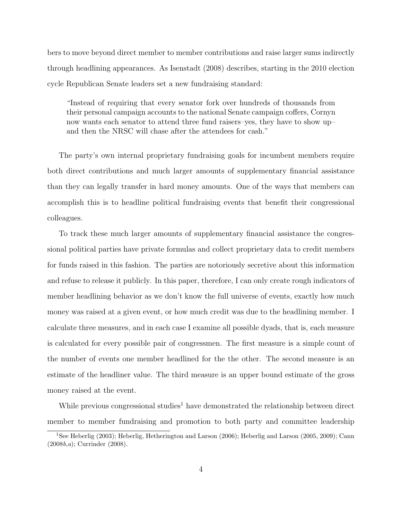bers to move beyond direct member to member contributions and raise larger sums indirectly through headlining appearances. As [Isenstadt](#page-22-5) [\(2008\)](#page-22-5) describes, starting in the 2010 election cycle Republican Senate leaders set a new fundraising standard:

"Instead of requiring that every senator fork over hundreds of thousands from their personal campaign accounts to the national Senate campaign coffers, Cornyn now wants each senator to attend three fund raisers–yes, they have to show up– and then the NRSC will chase after the attendees for cash."

The party's own internal proprietary fundraising goals for incumbent members require both direct contributions and much larger amounts of supplementary financial assistance than they can legally transfer in hard money amounts. One of the ways that members can accomplish this is to headline political fundraising events that benefit their congressional colleagues.

To track these much larger amounts of supplementary financial assistance the congressional political parties have private formulas and collect proprietary data to credit members for funds raised in this fashion. The parties are notoriously secretive about this information and refuse to release it publicly. In this paper, therefore, I can only create rough indicators of member headlining behavior as we don't know the full universe of events, exactly how much money was raised at a given event, or how much credit was due to the headlining member. I calculate three measures, and in each case I examine all possible dyads, that is, each measure is calculated for every possible pair of congressmen. The first measure is a simple count of the number of events one member headlined for the the other. The second measure is an estimate of the headliner value. The third measure is an upper bound estimate of the gross money raised at the event.

While previous congressional studies<sup>[1](#page-0-0)</sup> have demonstrated the relationship between direct member to member fundraising and promotion to both party and committee leadership

<sup>1</sup>See [Heberlig](#page-22-6) [\(2003\)](#page-22-6); [Heberlig, Hetherington and Larson](#page-22-7) [\(2006\)](#page-22-7); [Heberlig and Larson](#page-22-8) [\(2005,](#page-22-8) [2009\)](#page-22-9); [Cann](#page-21-4) [\(2008](#page-21-4)b,[a](#page-21-5)); [Currinder](#page-21-6) [\(2008\)](#page-21-6).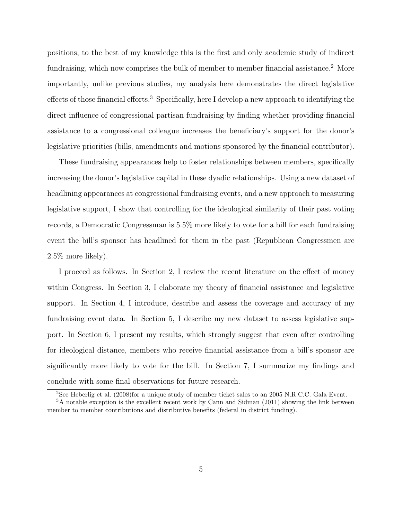positions, to the best of my knowledge this is the first and only academic study of indirect fundraising, which now comprises the bulk of member to member financial assistance.<sup>[2](#page-0-0)</sup> More importantly, unlike previous studies, my analysis here demonstrates the direct legislative effects of those financial efforts.<sup>[3](#page-0-0)</sup> Specifically, here I develop a new approach to identifying the direct influence of congressional partisan fundraising by finding whether providing financial assistance to a congressional colleague increases the beneficiary's support for the donor's legislative priorities (bills, amendments and motions sponsored by the financial contributor).

These fundraising appearances help to foster relationships between members, specifically increasing the donor's legislative capital in these dyadic relationships. Using a new dataset of headlining appearances at congressional fundraising events, and a new approach to measuring legislative support, I show that controlling for the ideological similarity of their past voting records, a Democratic Congressman is 5.5% more likely to vote for a bill for each fundraising event the bill's sponsor has headlined for them in the past (Republican Congressmen are 2.5% more likely).

I proceed as follows. In Section 2, I review the recent literature on the effect of money within Congress. In Section 3, I elaborate my theory of financial assistance and legislative support. In Section 4, I introduce, describe and assess the coverage and accuracy of my fundraising event data. In Section 5, I describe my new dataset to assess legislative support. In Section 6, I present my results, which strongly suggest that even after controlling for ideological distance, members who receive financial assistance from a bill's sponsor are significantly more likely to vote for the bill. In Section 7, I summarize my findings and conclude with some final observations for future research.

<sup>&</sup>lt;sup>2</sup>See [Heberlig et al.](#page-22-10) [\(2008\)](#page-22-10)for a unique study of member ticket sales to an 2005 N.R.C.C. Gala Event.

<sup>&</sup>lt;sup>3</sup>A notable exception is the excellent recent work by [Cann and Sidman](#page-21-7) [\(2011\)](#page-21-7) showing the link between member to member contributions and distributive benefits (federal in district funding).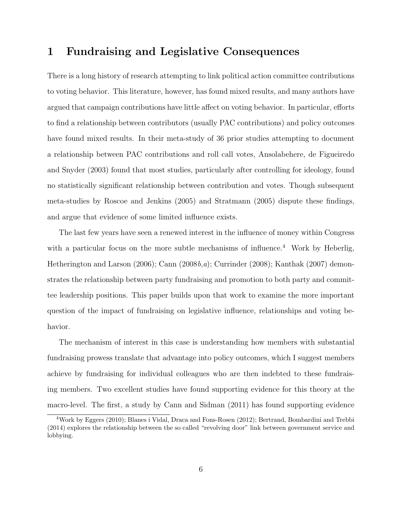## 1 Fundraising and Legislative Consequences

There is a long history of research attempting to link political action committee contributions to voting behavior. This literature, however, has found mixed results, and many authors have argued that campaign contributions have little affect on voting behavior. In particular, efforts to find a relationship between contributors (usually PAC contributions) and policy outcomes have found mixed results. In their meta-study of 36 prior studies attempting to document a relationship between PAC contributions and roll call votes, [Ansolabehere, de Figueiredo](#page-21-8) [and Snyder](#page-21-8) [\(2003\)](#page-21-8) found that most studies, particularly after controlling for ideology, found no statistically significant relationship between contribution and votes. Though subsequent meta-studies by [Roscoe and Jenkins](#page-23-2) [\(2005\)](#page-23-2) and [Stratmann](#page-23-3) [\(2005\)](#page-23-3) dispute these findings, and argue that evidence of some limited influence exists.

The last few years have seen a renewed interest in the influence of money within Congress with a particular focus on the more subtle mechanisms of influence.<sup>[4](#page-0-0)</sup> Work by [Heberlig,](#page-22-7) [Hetherington and Larson](#page-22-7) [\(2006\)](#page-22-7); [Cann](#page-21-4) [\(2008](#page-21-4)b,[a](#page-21-5)); [Currinder](#page-21-6) [\(2008\)](#page-21-6); [Kanthak](#page-22-11) [\(2007\)](#page-22-11) demonstrates the relationship between party fundraising and promotion to both party and committee leadership positions. This paper builds upon that work to examine the more important question of the impact of fundraising on legislative influence, relationships and voting behavior.

The mechanism of interest in this case is understanding how members with substantial fundraising prowess translate that advantage into policy outcomes, which I suggest members achieve by fundraising for individual colleagues who are then indebted to these fundraising members. Two excellent studies have found supporting evidence for this theory at the macro-level. The first, a study by [Cann and Sidman](#page-21-7) [\(2011\)](#page-21-7) has found supporting evidence

<sup>4</sup>Work by [Eggers](#page-21-9) [\(2010\)](#page-21-9); [Blanes i Vidal, Draca and Fons-Rosen](#page-21-10) [\(2012\)](#page-21-10); [Bertrand, Bombardini and Trebbi](#page-21-11) [\(2014\)](#page-21-11) explores the relationship between the so called "revolving door" link between government service and lobbying.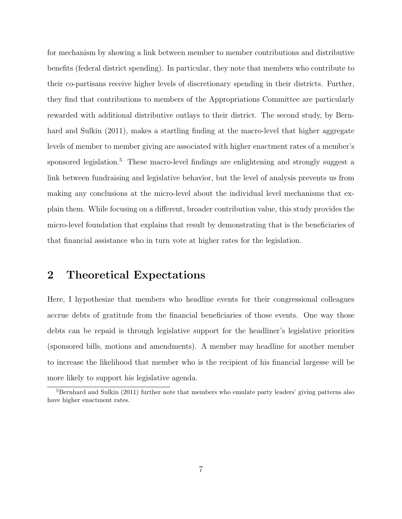for mechanism by showing a link between member to member contributions and distributive benefits (federal district spending). In particular, they note that members who contribute to their co-partisans receive higher levels of discretionary spending in their districts. Further, they find that contributions to members of the Appropriations Committee are particularly rewarded with additional distributive outlays to their district. The second study, by [Bern](#page-21-12)[hard and Sulkin](#page-21-12) [\(2011\)](#page-21-12), makes a startling finding at the macro-level that higher aggregate levels of member to member giving are associated with higher enactment rates of a member's sponsored legislation.<sup>[5](#page-0-0)</sup> These macro-level findings are enlightening and strongly suggest a link between fundraising and legislative behavior, but the level of analysis prevents us from making any conclusions at the micro-level about the individual level mechanisms that explain them. While focusing on a different, broader contribution value, this study provides the micro-level foundation that explains that result by demonstrating that is the beneficiaries of that financial assistance who in turn vote at higher rates for the legislation.

# 2 Theoretical Expectations

Here, I hypothesize that members who headline events for their congressional colleagues accrue debts of gratitude from the financial beneficiaries of those events. One way those debts can be repaid is through legislative support for the headliner's legislative priorities (sponsored bills, motions and amendments). A member may headline for another member to increase the likelihood that member who is the recipient of his financial largesse will be more likely to support his legislative agenda.

<sup>&</sup>lt;sup>5</sup>[Bernhard and Sulkin](#page-21-12) [\(2011\)](#page-21-12) further note that members who emulate party leaders' giving patterns also have higher enactment rates.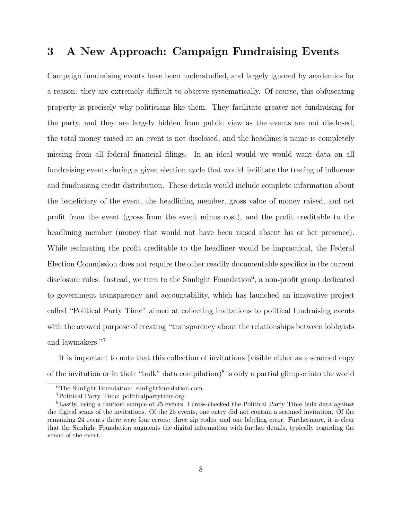# 3 A New Approach: Campaign Fundraising Events

Campaign fundraising events have been understudied, and largely ignored by academics for a reason: they are extremely difficult to observe systematically. Of course, this obfuscating property is precisely why politicians like them. They facilitate greater net fundraising for the party, and they are largely hidden from public view as the events are not disclosed, the total money raised at an event is not disclosed, and the headliner's name is completely missing from all federal financial filings. In an ideal would we would want data on all fundraising events during a given election cycle that would facilitate the tracing of influence and fundraising credit distribution. These details would include complete information about the beneficiary of the event, the headlining member, gross value of money raised, and net profit from the event (gross from the event minus cost), and the profit creditable to the headlining member (money that would not have been raised absent his or her presence). While estimating the profit creditable to the headliner would be impractical, the Federal Election Commission does not require the other readily documentable specifics in the current disclosure rules. Instead, we turn to the Sunlight Foundation<sup>[6](#page-0-0)</sup>, a non-profit group dedicated to government transparency and accountability, which has launched an innovative project called "Political Party Time" aimed at collecting invitations to political fundraising events with the avowed purpose of creating "transparency about the relationships between lobbyists and lawmakers."[7](#page-0-0)

It is important to note that this collection of invitations (visible either as a scanned copy of the invitation or in their "bulk" data compilation)<sup>[8](#page-0-0)</sup> is only a partial glimpse into the world

<sup>6</sup>The Sunlight Foundation: sunlightfoundation.com.

<sup>7</sup>Political Party Time: politicalpartytime.org.

<sup>8</sup>Lastly, using a random sample of 25 events, I cross-checked the Political Party Time bulk data against the digital scans of the invitations. Of the 25 events, one entry did not contain a scanned invitation. Of the remaining 24 events there were four errors: three zip codes, and one labeling error. Furthermore, it is clear that the Sunlight Foundation augments the digital information with further details, typically regarding the venue of the event.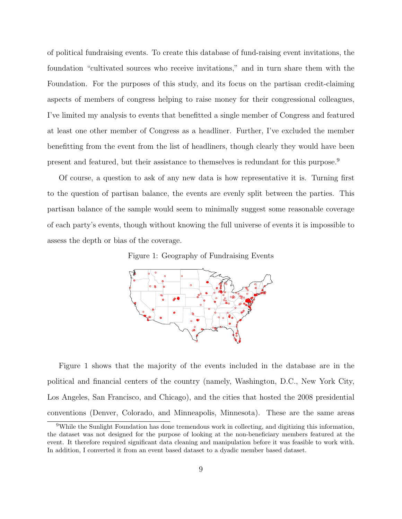of political fundraising events. To create this database of fund-raising event invitations, the foundation "cultivated sources who receive invitations," and in turn share them with the Foundation. For the purposes of this study, and its focus on the partisan credit-claiming aspects of members of congress helping to raise money for their congressional colleagues, I've limited my analysis to events that benefitted a single member of Congress and featured at least one other member of Congress as a headliner. Further, I've excluded the member benefitting from the event from the list of headliners, though clearly they would have been present and featured, but their assistance to themselves is redundant for this purpose.[9](#page-0-0)

<span id="page-8-0"></span>Of course, a question to ask of any new data is how representative it is. Turning first to the question of partisan balance, the events are evenly split between the parties. This partisan balance of the sample would seem to minimally suggest some reasonable coverage of each party's events, though without knowing the full universe of events it is impossible to assess the depth or bias of the coverage.

Figure 1: Geography of Fundraising Events



Figure [1](#page-8-0) shows that the majority of the events included in the database are in the political and financial centers of the country (namely, Washington, D.C., New York City, Los Angeles, San Francisco, and Chicago), and the cities that hosted the 2008 presidential conventions (Denver, Colorado, and Minneapolis, Minnesota). These are the same areas

<sup>&</sup>lt;sup>9</sup>While the Sunlight Foundation has done tremendous work in collecting, and digitizing this information, the dataset was not designed for the purpose of looking at the non-beneficiary members featured at the event. It therefore required significant data cleaning and manipulation before it was feasible to work with. In addition, I converted it from an event based dataset to a dyadic member based dataset.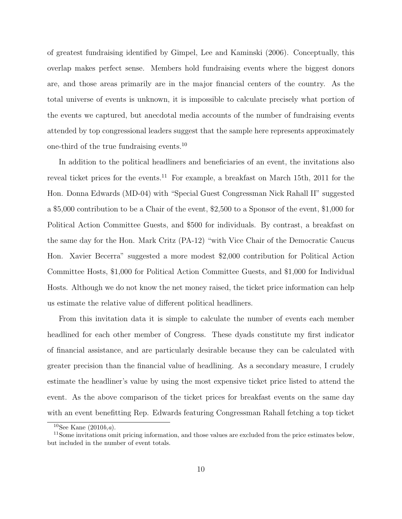of greatest fundraising identified by [Gimpel, Lee and Kaminski](#page-22-12) [\(2006\)](#page-22-12). Conceptually, this overlap makes perfect sense. Members hold fundraising events where the biggest donors are, and those areas primarily are in the major financial centers of the country. As the total universe of events is unknown, it is impossible to calculate precisely what portion of the events we captured, but anecdotal media accounts of the number of fundraising events attended by top congressional leaders suggest that the sample here represents approximately one-third of the true fundraising events.[10](#page-0-0)

In addition to the political headliners and beneficiaries of an event, the invitations also reveal ticket prices for the events.<sup>[11](#page-0-0)</sup> For example, a breakfast on March 15th, 2011 for the Hon. Donna Edwards (MD-04) with "Special Guest Congressman Nick Rahall II" suggested a \$5,000 contribution to be a Chair of the event, \$2,500 to a Sponsor of the event, \$1,000 for Political Action Committee Guests, and \$500 for individuals. By contrast, a breakfast on the same day for the Hon. Mark Critz (PA-12) "with Vice Chair of the Democratic Caucus Hon. Xavier Becerra" suggested a more modest \$2,000 contribution for Political Action Committee Hosts, \$1,000 for Political Action Committee Guests, and \$1,000 for Individual Hosts. Although we do not know the net money raised, the ticket price information can help us estimate the relative value of different political headliners.

From this invitation data it is simple to calculate the number of events each member headlined for each other member of Congress. These dyads constitute my first indicator of financial assistance, and are particularly desirable because they can be calculated with greater precision than the financial value of headlining. As a secondary measure, I crudely estimate the headliner's value by using the most expensive ticket price listed to attend the event. As the above comparison of the ticket prices for breakfast events on the same day with an event benefitting Rep. Edwards featuring Congressman Rahall fetching a top ticket

<sup>&</sup>lt;sup>10</sup>See [Kane](#page-22-13)  $(2010b,a)$  $(2010b,a)$  $(2010b,a)$  $(2010b,a)$ .

<sup>&</sup>lt;sup>11</sup>Some invitations omit pricing information, and those values are excluded from the price estimates below, but included in the number of event totals.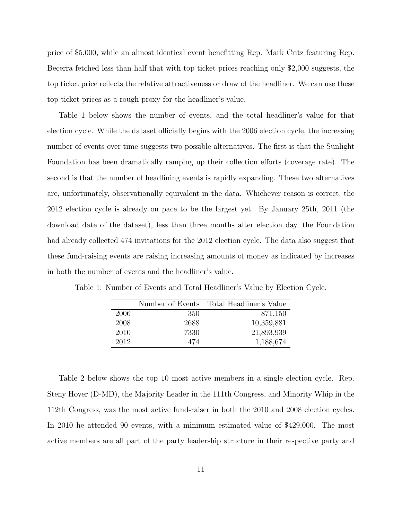price of \$5,000, while an almost identical event benefitting Rep. Mark Critz featuring Rep. Becerra fetched less than half that with top ticket prices reaching only \$2,000 suggests, the top ticket price reflects the relative attractiveness or draw of the headliner. We can use these top ticket prices as a rough proxy for the headliner's value.

Table [1](#page-10-0) below shows the number of events, and the total headliner's value for that election cycle. While the dataset officially begins with the 2006 election cycle, the increasing number of events over time suggests two possible alternatives. The first is that the Sunlight Foundation has been dramatically ramping up their collection efforts (coverage rate). The second is that the number of headlining events is rapidly expanding. These two alternatives are, unfortunately, observationally equivalent in the data. Whichever reason is correct, the 2012 election cycle is already on pace to be the largest yet. By January 25th, 2011 (the download date of the dataset), less than three months after election day, the Foundation had already collected 474 invitations for the 2012 election cycle. The data also suggest that these fund-raising events are raising increasing amounts of money as indicated by increases in both the number of events and the headliner's value.

<span id="page-10-0"></span>Table 1: Number of Events and Total Headliner's Value by Election Cycle.

|      | Number of Events | Total Headliner's Value |
|------|------------------|-------------------------|
| 2006 | 350              | 871,150                 |
| 2008 | 2688             | 10,359,881              |
| 2010 | 7330             | 21,893,939              |
| 2012 | 474              | 1,188,674               |

Table [2](#page-11-0) below shows the top 10 most active members in a single election cycle. Rep. Steny Hoyer (D-MD), the Majority Leader in the 111th Congress, and Minority Whip in the 112th Congress, was the most active fund-raiser in both the 2010 and 2008 election cycles. In 2010 he attended 90 events, with a minimum estimated value of \$429,000. The most active members are all part of the party leadership structure in their respective party and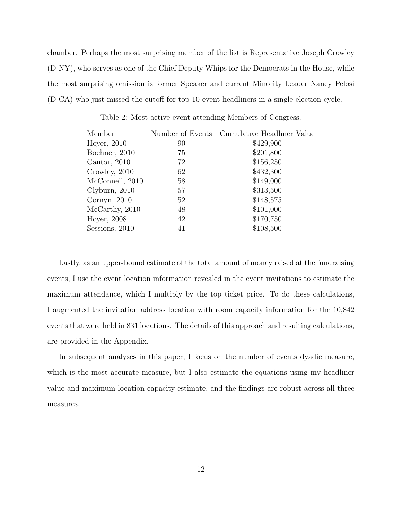chamber. Perhaps the most surprising member of the list is Representative Joseph Crowley (D-NY), who serves as one of the Chief Deputy Whips for the Democrats in the House, while the most surprising omission is former Speaker and current Minority Leader Nancy Pelosi (D-CA) who just missed the cutoff for top 10 event headliners in a single election cycle.

<span id="page-11-0"></span>

| Member          | Number of Events | Cumulative Headliner Value |
|-----------------|------------------|----------------------------|
| Hoyer, 2010     | 90               | \$429,900                  |
| Boehner, 2010   | 75               | \$201,800                  |
| Cantor, $2010$  | 72               | \$156,250                  |
| Crowley, 2010   | 62               | \$432,300                  |
| McConnell, 2010 | 58               | \$149,000                  |
| Clyburn, 2010   | 57               | \$313,500                  |
| Cornyn, $2010$  | 52               | \$148,575                  |
| McCarthy, 2010  | 48               | \$101,000                  |
| Hoyer, 2008     | 42               | \$170,750                  |
| Sessions, 2010  | 41               | \$108,500                  |

Table 2: Most active event attending Members of Congress.

Lastly, as an upper-bound estimate of the total amount of money raised at the fundraising events, I use the event location information revealed in the event invitations to estimate the maximum attendance, which I multiply by the top ticket price. To do these calculations, I augmented the invitation address location with room capacity information for the 10,842 events that were held in 831 locations. The details of this approach and resulting calculations, are provided in the Appendix.

In subsequent analyses in this paper, I focus on the number of events dyadic measure, which is the most accurate measure, but I also estimate the equations using my headliner value and maximum location capacity estimate, and the findings are robust across all three measures.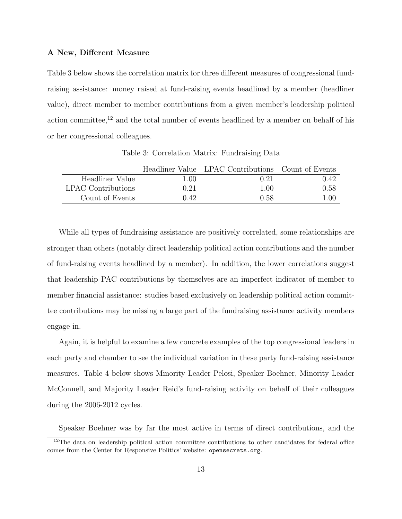#### A New, Different Measure

Table [3](#page-12-0) below shows the correlation matrix for three different measures of congressional fundraising assistance: money raised at fund-raising events headlined by a member (headliner value), direct member to member contributions from a given member's leadership political action committee,<sup>[12](#page-0-0)</sup> and the total number of events headlined by a member on behalf of his or her congressional colleagues.

<span id="page-12-0"></span>

|                           |      | Headliner Value LPAC Contributions Count of Events |      |
|---------------------------|------|----------------------------------------------------|------|
| Headliner Value           | 1.00 | 0.21                                               | 0.42 |
| <b>LPAC</b> Contributions | 0.21 | 1.00                                               | 0.58 |
| Count of Events           | 0.42 | 0.58                                               | 1.00 |

Table 3: Correlation Matrix: Fundraising Data

While all types of fundraising assistance are positively correlated, some relationships are stronger than others (notably direct leadership political action contributions and the number of fund-raising events headlined by a member). In addition, the lower correlations suggest that leadership PAC contributions by themselves are an imperfect indicator of member to member financial assistance: studies based exclusively on leadership political action committee contributions may be missing a large part of the fundraising assistance activity members engage in.

Again, it is helpful to examine a few concrete examples of the top congressional leaders in each party and chamber to see the individual variation in these party fund-raising assistance measures. Table [4](#page-13-0) below shows Minority Leader Pelosi, Speaker Boehner, Minority Leader McConnell, and Majority Leader Reid's fund-raising activity on behalf of their colleagues during the 2006-2012 cycles.

Speaker Boehner was by far the most active in terms of direct contributions, and the

 $12$ The data on leadership political action committee contributions to other candidates for federal office comes from the Center for Responsive Politics' website: <opensecrets.org>.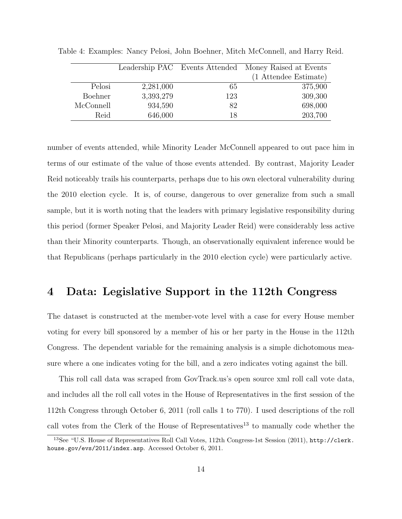|           |           |     | Leadership PAC Events Attended Money Raised at Events |
|-----------|-----------|-----|-------------------------------------------------------|
|           |           |     | (1 Attendee Estimate)                                 |
| Pelosi    | 2,281,000 | 65  | 375,900                                               |
| Boehner   | 3,393,279 | 123 | 309,300                                               |
| McConnell | 934,590   | 82  | 698,000                                               |
| Reid      | 646,000   | 18  | 203,700                                               |

<span id="page-13-0"></span>Table 4: Examples: Nancy Pelosi, John Boehner, Mitch McConnell, and Harry Reid.

number of events attended, while Minority Leader McConnell appeared to out pace him in terms of our estimate of the value of those events attended. By contrast, Majority Leader Reid noticeably trails his counterparts, perhaps due to his own electoral vulnerability during the 2010 election cycle. It is, of course, dangerous to over generalize from such a small sample, but it is worth noting that the leaders with primary legislative responsibility during this period (former Speaker Pelosi, and Majority Leader Reid) were considerably less active than their Minority counterparts. Though, an observationally equivalent inference would be that Republicans (perhaps particularly in the 2010 election cycle) were particularly active.

## 4 Data: Legislative Support in the 112th Congress

The dataset is constructed at the member-vote level with a case for every House member voting for every bill sponsored by a member of his or her party in the House in the 112th Congress. The dependent variable for the remaining analysis is a simple dichotomous measure where a one indicates voting for the bill, and a zero indicates voting against the bill.

This roll call data was scraped from GovTrack.us's open source xml roll call vote data, and includes all the roll call votes in the House of Representatives in the first session of the 112th Congress through October 6, 2011 (roll calls 1 to 770). I used descriptions of the roll call votes from the Clerk of the House of Representatives<sup>[13](#page-0-0)</sup> to manually code whether the

<sup>13</sup>See "U.S. House of Representatives Roll Call Votes, 112th Congress-1st Session (2011), [http://clerk.](http://clerk.house.gov/evs/2011/index.asp) [house.gov/evs/2011/index.asp](http://clerk.house.gov/evs/2011/index.asp). Accessed October 6, 2011.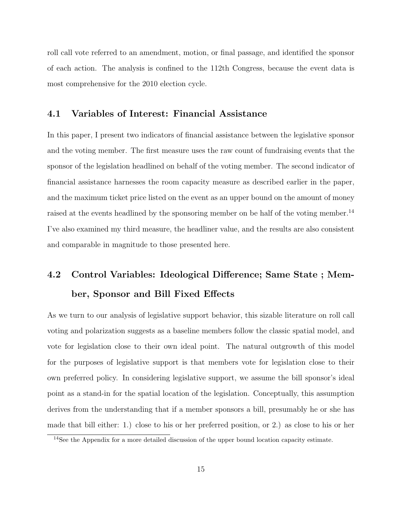roll call vote referred to an amendment, motion, or final passage, and identified the sponsor of each action. The analysis is confined to the 112th Congress, because the event data is most comprehensive for the 2010 election cycle.

#### 4.1 Variables of Interest: Financial Assistance

In this paper, I present two indicators of financial assistance between the legislative sponsor and the voting member. The first measure uses the raw count of fundraising events that the sponsor of the legislation headlined on behalf of the voting member. The second indicator of financial assistance harnesses the room capacity measure as described earlier in the paper, and the maximum ticket price listed on the event as an upper bound on the amount of money raised at the events headlined by the sponsoring member on be half of the voting member.<sup>[14](#page-0-0)</sup> I've also examined my third measure, the headliner value, and the results are also consistent and comparable in magnitude to those presented here.

# 4.2 Control Variables: Ideological Difference; Same State ; Member, Sponsor and Bill Fixed Effects

As we turn to our analysis of legislative support behavior, this sizable literature on roll call voting and polarization suggests as a baseline members follow the classic spatial model, and vote for legislation close to their own ideal point. The natural outgrowth of this model for the purposes of legislative support is that members vote for legislation close to their own preferred policy. In considering legislative support, we assume the bill sponsor's ideal point as a stand-in for the spatial location of the legislation. Conceptually, this assumption derives from the understanding that if a member sponsors a bill, presumably he or she has made that bill either: 1.) close to his or her preferred position, or 2.) as close to his or her

<sup>14</sup>See the Appendix for a more detailed discussion of the upper bound location capacity estimate.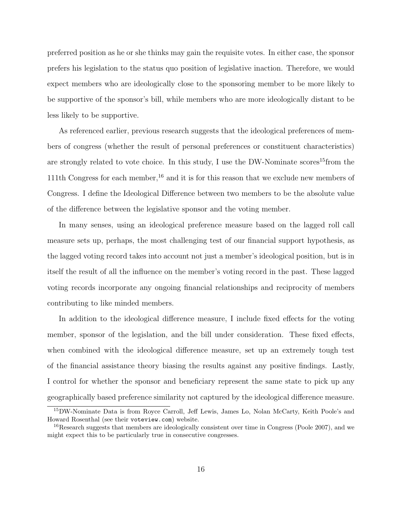preferred position as he or she thinks may gain the requisite votes. In either case, the sponsor prefers his legislation to the status quo position of legislative inaction. Therefore, we would expect members who are ideologically close to the sponsoring member to be more likely to be supportive of the sponsor's bill, while members who are more ideologically distant to be less likely to be supportive.

As referenced earlier, previous research suggests that the ideological preferences of members of congress (whether the result of personal preferences or constituent characteristics) are strongly related to vote choice. In this study, I use the DW-Nominate scores<sup>[15](#page-0-0)</sup>from the 111th Congress for each member,<sup>[16](#page-0-0)</sup> and it is for this reason that we exclude new members of Congress. I define the Ideological Difference between two members to be the absolute value of the difference between the legislative sponsor and the voting member.

In many senses, using an ideological preference measure based on the lagged roll call measure sets up, perhaps, the most challenging test of our financial support hypothesis, as the lagged voting record takes into account not just a member's ideological position, but is in itself the result of all the influence on the member's voting record in the past. These lagged voting records incorporate any ongoing financial relationships and reciprocity of members contributing to like minded members.

In addition to the ideological difference measure, I include fixed effects for the voting member, sponsor of the legislation, and the bill under consideration. These fixed effects, when combined with the ideological difference measure, set up an extremely tough test of the financial assistance theory biasing the results against any positive findings. Lastly, I control for whether the sponsor and beneficiary represent the same state to pick up any geographically based preference similarity not captured by the ideological difference measure.

<sup>15</sup>DW-Nominate Data is from Royce Carroll, Jeff Lewis, James Lo, Nolan McCarty, Keith Poole's and Howard Rosenthal (see their <voteview.com>) website.

<sup>16</sup>Research suggests that members are ideologically consistent over time in Congress (Poole 2007), and we might expect this to be particularly true in consecutive congresses.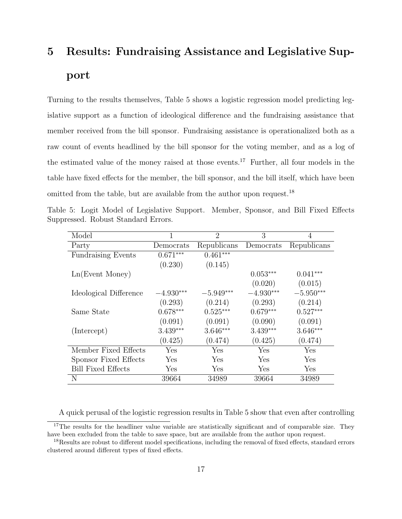# 5 Results: Fundraising Assistance and Legislative Support

Turning to the results themselves, Table [5](#page-16-0) shows a logistic regression model predicting legislative support as a function of ideological difference and the fundraising assistance that member received from the bill sponsor. Fundraising assistance is operationalized both as a raw count of events headlined by the bill sponsor for the voting member, and as a log of the estimated value of the money raised at those events.<sup>[17](#page-0-0)</sup> Further, all four models in the table have fixed effects for the member, the bill sponsor, and the bill itself, which have been omitted from the table, but are available from the author upon request.<sup>[18](#page-0-0)</sup>

<span id="page-16-0"></span>Table 5: Logit Model of Legislative Support. Member, Sponsor, and Bill Fixed Effects Suppressed. Robust Standard Errors.

| Model                     | 1           | $\overline{2}$ | 3           | 4           |
|---------------------------|-------------|----------------|-------------|-------------|
| Party                     | Democrats   | Republicans    | Democrats   | Republicans |
| <b>Fundraising Events</b> | $0.671***$  | $0.461***$     |             |             |
|                           | (0.230)     | (0.145)        |             |             |
| Ln(Event Money)           |             |                | $0.053***$  | $0.041***$  |
|                           |             |                | (0.020)     | (0.015)     |
| Ideological Difference    | $-4.930***$ | $-5.949***$    | $-4.930***$ | $-5.950***$ |
|                           | (0.293)     | (0.214)        | (0.293)     | (0.214)     |
| Same State                | $0.678***$  | $0.525***$     | $0.679***$  | $0.527***$  |
|                           | (0.091)     | (0.091)        | (0.090)     | (0.091)     |
| (Intercept)               | $3.439***$  | $3.646***$     | $3.439***$  | $3.646***$  |
|                           | (0.425)     | (0.474)        | (0.425)     | (0.474)     |
| Member Fixed Effects      | Yes         | Yes            | Yes         | Yes         |
| Sponsor Fixed Effects     | <b>Yes</b>  | Yes            | Yes         | Yes         |
| <b>Bill Fixed Effects</b> | Yes         | Yes            | Yes         | Yes         |
| N                         | 39664       | 34989          | 39664       | 34989       |

A quick perusal of the logistic regression results in Table [5](#page-16-0) show that even after controlling

<sup>&</sup>lt;sup>17</sup>The results for the headliner value variable are statistically significant and of comparable size. They have been excluded from the table to save space, but are available from the author upon request.

<sup>18</sup>Results are robust to different model specifications, including the removal of fixed effects, standard errors clustered around different types of fixed effects.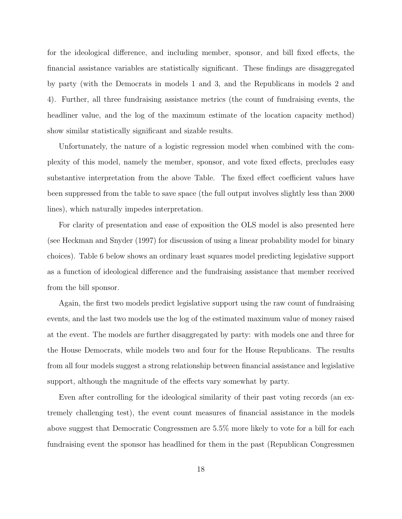for the ideological difference, and including member, sponsor, and bill fixed effects, the financial assistance variables are statistically significant. These findings are disaggregated by party (with the Democrats in models 1 and 3, and the Republicans in models 2 and 4). Further, all three fundraising assistance metrics (the count of fundraising events, the headliner value, and the log of the maximum estimate of the location capacity method) show similar statistically significant and sizable results.

Unfortunately, the nature of a logistic regression model when combined with the complexity of this model, namely the member, sponsor, and vote fixed effects, precludes easy substantive interpretation from the above Table. The fixed effect coefficient values have been suppressed from the table to save space (the full output involves slightly less than 2000 lines), which naturally impedes interpretation.

For clarity of presentation and ease of exposition the OLS model is also presented here (see Heckman and Snyder (1997) for discussion of using a linear probability model for binary choices). Table [6](#page-18-0) below shows an ordinary least squares model predicting legislative support as a function of ideological difference and the fundraising assistance that member received from the bill sponsor.

Again, the first two models predict legislative support using the raw count of fundraising events, and the last two models use the log of the estimated maximum value of money raised at the event. The models are further disaggregated by party: with models one and three for the House Democrats, while models two and four for the House Republicans. The results from all four models suggest a strong relationship between financial assistance and legislative support, although the magnitude of the effects vary somewhat by party.

Even after controlling for the ideological similarity of their past voting records (an extremely challenging test), the event count measures of financial assistance in the models above suggest that Democratic Congressmen are 5.5% more likely to vote for a bill for each fundraising event the sponsor has headlined for them in the past (Republican Congressmen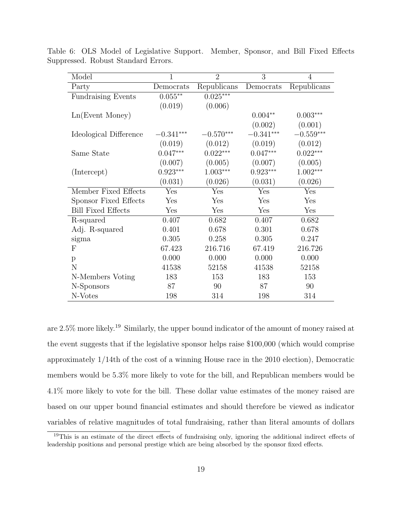| Model                     | $\overline{1}$ | $\overline{2}$ | 3           | $\overline{4}$ |
|---------------------------|----------------|----------------|-------------|----------------|
| Party                     | Democrats      | Republicans    | Democrats   | Republicans    |
| <b>Fundraising Events</b> | $0.055***$     | $0.025***$     |             |                |
|                           | (0.019)        | (0.006)        |             |                |
| Ln(Event Money)           |                |                | $0.004**$   | $0.003***$     |
|                           |                |                | (0.002)     | (0.001)        |
| Ideological Difference    | $-0.341***$    | $-0.570***$    | $-0.341***$ | $-0.559***$    |
|                           | (0.019)        | (0.012)        | (0.019)     | (0.012)        |
| Same State                | $0.047***$     | $0.022***$     | $0.047***$  | $0.022***$     |
|                           | (0.007)        | (0.005)        | (0.007)     | (0.005)        |
| (Intercept)               | $0.923***$     | $1.003***$     | $0.923***$  | $1.002***$     |
|                           | (0.031)        | (0.026)        | (0.031)     | (0.026)        |
| Member Fixed Effects      | Yes            | Yes            | Yes         | Yes            |
| Sponsor Fixed Effects     | Yes            | Yes            | Yes         | Yes            |
| <b>Bill Fixed Effects</b> | Yes            | Yes            | Yes         | Yes            |
| R-squared                 | 0.407          | 0.682          | 0.407       | 0.682          |
| Adj. R-squared            | 0.401          | 0.678          | 0.301       | 0.678          |
| sigma                     | 0.305          | 0.258          | 0.305       | 0.247          |
| F                         | 67.423         | 216.716        | 67.419      | 216.726        |
| p                         | 0.000          | 0.000          | 0.000       | 0.000          |
| N                         | 41538          | 52158          | 41538       | 52158          |
| N-Members Voting          | 183            | 153            | 183         | 153            |
| N-Sponsors                | 87             | 90             | 87          | 90             |
| N-Votes                   | 198            | 314            | 198         | 314            |

<span id="page-18-0"></span>Table 6: OLS Model of Legislative Support. Member, Sponsor, and Bill Fixed Effects Suppressed. Robust Standard Errors.

are 2.5% more likely.[19](#page-0-0) Similarly, the upper bound indicator of the amount of money raised at the event suggests that if the legislative sponsor helps raise \$100,000 (which would comprise approximately 1/14th of the cost of a winning House race in the 2010 election), Democratic members would be 5.3% more likely to vote for the bill, and Republican members would be 4.1% more likely to vote for the bill. These dollar value estimates of the money raised are based on our upper bound financial estimates and should therefore be viewed as indicator variables of relative magnitudes of total fundraising, rather than literal amounts of dollars

<sup>19</sup>This is an estimate of the direct effects of fundraising only, ignoring the additional indirect effects of leadership positions and personal prestige which are being absorbed by the sponsor fixed effects.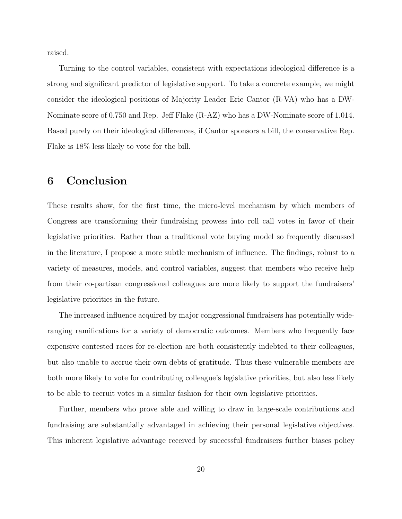raised.

Turning to the control variables, consistent with expectations ideological difference is a strong and significant predictor of legislative support. To take a concrete example, we might consider the ideological positions of Majority Leader Eric Cantor (R-VA) who has a DW-Nominate score of 0.750 and Rep. Jeff Flake (R-AZ) who has a DW-Nominate score of 1.014. Based purely on their ideological differences, if Cantor sponsors a bill, the conservative Rep. Flake is 18% less likely to vote for the bill.

# 6 Conclusion

These results show, for the first time, the micro-level mechanism by which members of Congress are transforming their fundraising prowess into roll call votes in favor of their legislative priorities. Rather than a traditional vote buying model so frequently discussed in the literature, I propose a more subtle mechanism of influence. The findings, robust to a variety of measures, models, and control variables, suggest that members who receive help from their co-partisan congressional colleagues are more likely to support the fundraisers' legislative priorities in the future.

The increased influence acquired by major congressional fundraisers has potentially wideranging ramifications for a variety of democratic outcomes. Members who frequently face expensive contested races for re-election are both consistently indebted to their colleagues, but also unable to accrue their own debts of gratitude. Thus these vulnerable members are both more likely to vote for contributing colleague's legislative priorities, but also less likely to be able to recruit votes in a similar fashion for their own legislative priorities.

Further, members who prove able and willing to draw in large-scale contributions and fundraising are substantially advantaged in achieving their personal legislative objectives. This inherent legislative advantage received by successful fundraisers further biases policy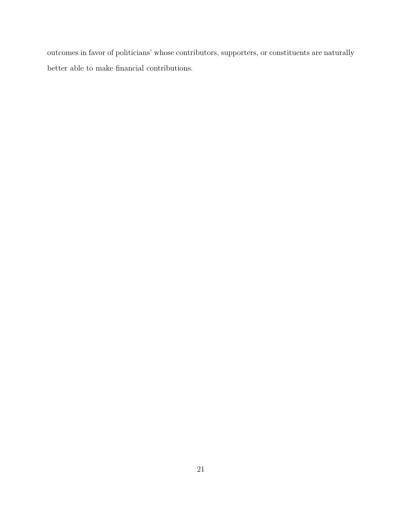outcomes in favor of politicians' whose contributors, supporters, or constituents are naturally better able to make financial contributions.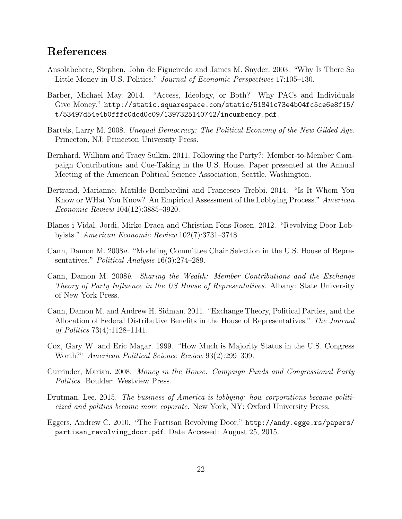# References

- <span id="page-21-8"></span>Ansolabehere, Stephen, John de Figueiredo and James M. Snyder. 2003. "Why Is There So Little Money in U.S. Politics." Journal of Economic Perspectives 17:105–130.
- <span id="page-21-3"></span>Barber, Michael May. 2014. "Access, Ideology, or Both? Why PACs and Individuals Give Money." [http://static.squarespace.com/static/51841c73e4b04fc5ce6e8f15/](http://static.squarespace.com/static/51841c73e4b04fc5ce6e8f15/t/53497d54e4b0fffc0dcd0c09/1397325140742/incumbency.pdf) [t/53497d54e4b0fffc0dcd0c09/1397325140742/incumbency.pdf](http://static.squarespace.com/static/51841c73e4b04fc5ce6e8f15/t/53497d54e4b0fffc0dcd0c09/1397325140742/incumbency.pdf).
- <span id="page-21-1"></span>Bartels, Larry M. 2008. Unequal Democracy: The Political Economy of the New Gilded Age. Princeton, NJ: Princeton University Press.
- <span id="page-21-12"></span>Bernhard, William and Tracy Sulkin. 2011. Following the Party?: Member-to-Member Campaign Contributions and Cue-Taking in the U.S. House. Paper presented at the Annual Meeting of the American Political Science Association, Seattle, Washington.
- <span id="page-21-11"></span>Bertrand, Marianne, Matilde Bombardini and Francesco Trebbi. 2014. "Is It Whom You Know or WHat You Know? An Empirical Assessment of the Lobbying Process." American Economic Review 104(12):3885–3920.
- <span id="page-21-10"></span>Blanes i Vidal, Jordi, Mirko Draca and Christian Fons-Rosen. 2012. "Revolving Door Lobbyists." American Economic Review 102(7):3731–3748.
- <span id="page-21-5"></span>Cann, Damon M. 2008a. "Modeling Committee Chair Selection in the U.S. House of Representatives." Political Analysis 16(3):274–289.
- <span id="page-21-4"></span>Cann, Damon M. 2008b. Sharing the Wealth: Member Contributions and the Exchange Theory of Party Influence in the US House of Representatives. Albany: State University of New York Press.
- <span id="page-21-7"></span>Cann, Damon M. and Andrew H. Sidman. 2011. "Exchange Theory, Political Parties, and the Allocation of Federal Distributive Benefits in the House of Representatives." The Journal of Politics 73(4):1128–1141.
- <span id="page-21-2"></span>Cox, Gary W. and Eric Magar. 1999. "How Much is Majority Status in the U.S. Congress Worth?" American Political Science Review 93(2):299–309.
- <span id="page-21-6"></span>Currinder, Marian. 2008. Money in the House: Campaign Funds and Congressional Party Politics. Boulder: Westview Press.
- <span id="page-21-0"></span>Drutman, Lee. 2015. The business of America is lobbying: how corporations became politicized and politics became more coporate. New York, NY: Oxford University Press.
- <span id="page-21-9"></span>Eggers, Andrew C. 2010. "The Partisan Revolving Door." [http://andy.egge.rs/papers/](http://andy.egge.rs/papers/partisan_revolving_door.pdf) [partisan\\_revolving\\_door.pdf](http://andy.egge.rs/papers/partisan_revolving_door.pdf). Date Accessed: August 25, 2015.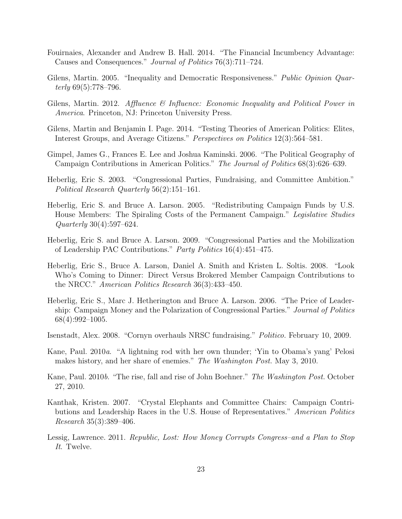- <span id="page-22-3"></span>Fouirnaies, Alexander and Andrew B. Hall. 2014. "The Financial Incumbency Advantage: Causes and Consequences." Journal of Politics 76(3):711–724.
- <span id="page-22-1"></span>Gilens, Martin. 2005. "Inequality and Democratic Responsiveness." *Public Opinion Quar*terly  $69(5)$ :778–796.
- <span id="page-22-2"></span>Gilens, Martin. 2012. Affluence & Influence: Economic Inequality and Political Power in America. Princeton, NJ: Princeton University Press.
- <span id="page-22-0"></span>Gilens, Martin and Benjamin I. Page. 2014. "Testing Theories of American Politics: Elites, Interest Groups, and Average Citizens." Perspectives on Politics 12(3):564–581.
- <span id="page-22-12"></span>Gimpel, James G., Frances E. Lee and Joshua Kaminski. 2006. "The Political Geography of Campaign Contributions in American Politics." The Journal of Politics 68(3):626–639.
- <span id="page-22-6"></span>Heberlig, Eric S. 2003. "Congressional Parties, Fundraising, and Committee Ambition." Political Research Quarterly 56(2):151–161.
- <span id="page-22-8"></span>Heberlig, Eric S. and Bruce A. Larson. 2005. "Redistributing Campaign Funds by U.S. House Members: The Spiraling Costs of the Permanent Campaign." Legislative Studies Quarterly 30(4):597–624.
- <span id="page-22-9"></span>Heberlig, Eric S. and Bruce A. Larson. 2009. "Congressional Parties and the Mobilization of Leadership PAC Contributions." Party Politics 16(4):451–475.
- <span id="page-22-10"></span>Heberlig, Eric S., Bruce A. Larson, Daniel A. Smith and Kristen L. Soltis. 2008. "Look Who's Coming to Dinner: Direct Versus Brokered Member Campaign Contributions to the NRCC." American Politics Research 36(3):433–450.
- <span id="page-22-7"></span>Heberlig, Eric S., Marc J. Hetherington and Bruce A. Larson. 2006. "The Price of Leadership: Campaign Money and the Polarization of Congressional Parties." Journal of Politics 68(4):992–1005.
- <span id="page-22-5"></span>Isenstadt, Alex. 2008. "Cornyn overhauls NRSC fundraising." Politico. February 10, 2009.
- <span id="page-22-14"></span>Kane, Paul. 2010a. "A lightning rod with her own thunder; 'Yin to Obama's yang' Pelosi makes history, and her share of enemies." The Washington Post. May 3, 2010.
- <span id="page-22-13"></span>Kane, Paul. 2010b. "The rise, fall and rise of John Boehner." The Washington Post. October 27, 2010.
- <span id="page-22-11"></span>Kanthak, Kristen. 2007. "Crystal Elephants and Committee Chairs: Campaign Contributions and Leadership Races in the U.S. House of Representatives." American Politics Research 35(3):389–406.
- <span id="page-22-4"></span>Lessig, Lawrence. 2011. Republic, Lost: How Money Corrupts Congress–and a Plan to Stop It. Twelve.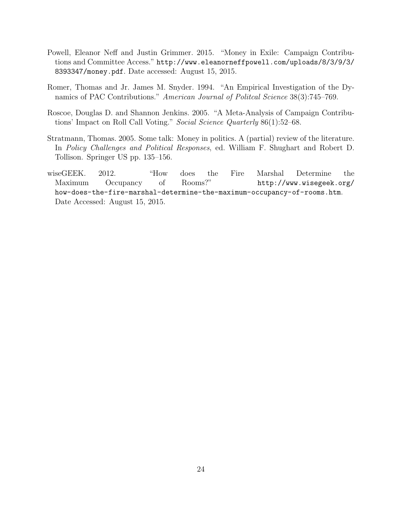- <span id="page-23-1"></span>Powell, Eleanor Neff and Justin Grimmer. 2015. "Money in Exile: Campaign Contributions and Committee Access." [http://www.eleanorneffpowell.com/uploads/8/3/9/3/](http://www.eleanorneffpowell.com/uploads/8/3/9/3/8393347/money.pdf) [8393347/money.pdf](http://www.eleanorneffpowell.com/uploads/8/3/9/3/8393347/money.pdf). Date accessed: August 15, 2015.
- <span id="page-23-0"></span>Romer, Thomas and Jr. James M. Snyder. 1994. "An Empirical Investigation of the Dynamics of PAC Contributions." American Journal of Politcal Science 38(3):745–769.
- <span id="page-23-2"></span>Roscoe, Douglas D. and Shannon Jenkins. 2005. "A Meta-Analysis of Campaign Contributions' Impact on Roll Call Voting." Social Science Quarterly 86(1):52–68.
- <span id="page-23-3"></span>Stratmann, Thomas. 2005. Some talk: Money in politics. A (partial) review of the literature. In Policy Challenges and Political Responses, ed. William F. Shughart and Robert D. Tollison. Springer US pp. 135–156.
- <span id="page-23-4"></span>wiseGEEK. 2012. "How does the Fire Marshal Determine the Maximum Occupancy of Rooms?" [http://www.wisegeek.org/](http://www.wisegeek.org/how-does-the-fire-marshal-determine-the-maximum-occupancy-of-rooms.htm) [how-does-the-fire-marshal-determine-the-maximum-occupancy-of-rooms.htm](http://www.wisegeek.org/how-does-the-fire-marshal-determine-the-maximum-occupancy-of-rooms.htm). Date Accessed: August 15, 2015.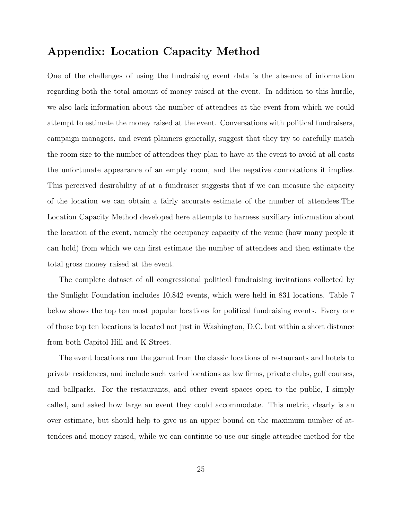# Appendix: Location Capacity Method

One of the challenges of using the fundraising event data is the absence of information regarding both the total amount of money raised at the event. In addition to this hurdle, we also lack information about the number of attendees at the event from which we could attempt to estimate the money raised at the event. Conversations with political fundraisers, campaign managers, and event planners generally, suggest that they try to carefully match the room size to the number of attendees they plan to have at the event to avoid at all costs the unfortunate appearance of an empty room, and the negative connotations it implies. This perceived desirability of at a fundraiser suggests that if we can measure the capacity of the location we can obtain a fairly accurate estimate of the number of attendees.The Location Capacity Method developed here attempts to harness auxiliary information about the location of the event, namely the occupancy capacity of the venue (how many people it can hold) from which we can first estimate the number of attendees and then estimate the total gross money raised at the event.

The complete dataset of all congressional political fundraising invitations collected by the Sunlight Foundation includes 10,842 events, which were held in 831 locations. Table [7](#page-25-0) below shows the top ten most popular locations for political fundraising events. Every one of those top ten locations is located not just in Washington, D.C. but within a short distance from both Capitol Hill and K Street.

The event locations run the gamut from the classic locations of restaurants and hotels to private residences, and include such varied locations as law firms, private clubs, golf courses, and ballparks. For the restaurants, and other event spaces open to the public, I simply called, and asked how large an event they could accommodate. This metric, clearly is an over estimate, but should help to give us an upper bound on the maximum number of attendees and money raised, while we can continue to use our single attendee method for the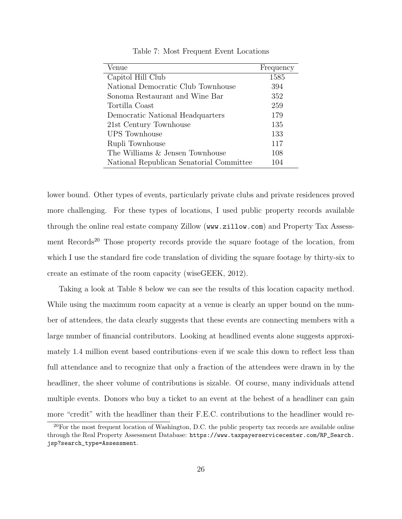<span id="page-25-0"></span>

| Venue                                    | Frequency |
|------------------------------------------|-----------|
| Capitol Hill Club                        | 1585      |
| National Democratic Club Townhouse       | 394       |
| Sonoma Restaurant and Wine Bar           | 352       |
| Tortilla Coast                           | 259       |
| Democratic National Headquarters         | 179       |
| 21st Century Townhouse                   | 135       |
| <b>UPS</b> Townhouse                     | 133       |
| Rupli Townhouse                          | 117       |
| The Williams $\&$ Jensen Townhouse       | 108       |
| National Republican Senatorial Committee | 104       |

Table 7: Most Frequent Event Locations

lower bound. Other types of events, particularly private clubs and private residences proved more challenging. For these types of locations, I used public property records available through the online real estate company Zillow (<www.zillow.com>) and Property Tax Assess-ment Records<sup>[20](#page-0-0)</sup> Those property records provide the square footage of the location, from which I use the standard fire code translation of dividing the square footage by thirty-six to create an estimate of the room capacity [\(wiseGEEK, 2012\)](#page-23-4).

Taking a look at Table [8](#page-26-0) below we can see the results of this location capacity method. While using the maximum room capacity at a venue is clearly an upper bound on the number of attendees, the data clearly suggests that these events are connecting members with a large number of financial contributors. Looking at headlined events alone suggests approximately 1.4 million event based contributions–even if we scale this down to reflect less than full attendance and to recognize that only a fraction of the attendees were drawn in by the headliner, the sheer volume of contributions is sizable. Of course, many individuals attend multiple events. Donors who buy a ticket to an event at the behest of a headliner can gain more "credit" with the headliner than their F.E.C. contributions to the headliner would re-

 $^{20}$ For the most frequent location of Washington, D.C. the public property tax records are available online through the Real Property Assessment Database: [https://www.taxpayerservicecenter.com/RP\\_Search.](https://www.taxpayerservicecenter.com/RP_Search.jsp?search_type=Assessment) [jsp?search\\_type=Assessment](https://www.taxpayerservicecenter.com/RP_Search.jsp?search_type=Assessment).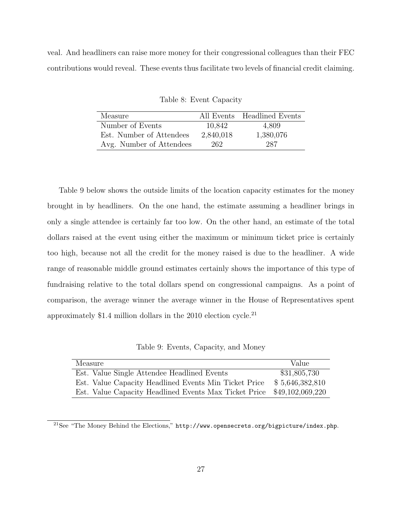<span id="page-26-0"></span>veal. And headliners can raise more money for their congressional colleagues than their FEC contributions would reveal. These events thus facilitate two levels of financial credit claiming.

| Measure                  |           | All Events Headlined Events |
|--------------------------|-----------|-----------------------------|
| Number of Events         | 10,842    | 4,809                       |
| Est. Number of Attendees | 2,840,018 | 1,380,076                   |
| Avg. Number of Attendees | 262       | 287                         |

Table 8: Event Capacity

Table [9](#page-26-1) below shows the outside limits of the location capacity estimates for the money brought in by headliners. On the one hand, the estimate assuming a headliner brings in only a single attendee is certainly far too low. On the other hand, an estimate of the total dollars raised at the event using either the maximum or minimum ticket price is certainly too high, because not all the credit for the money raised is due to the headliner. A wide range of reasonable middle ground estimates certainly shows the importance of this type of fundraising relative to the total dollars spend on congressional campaigns. As a point of comparison, the average winner the average winner in the House of Representatives spent approximately \$1.4 million dollars in the  $2010$  election cycle.<sup>[21](#page-0-0)</sup>

Table 9: Events, Capacity, and Money

<span id="page-26-1"></span>

| Measure                                               | Value            |
|-------------------------------------------------------|------------------|
| Est. Value Single Attendee Headlined Events           | \$31,805,730     |
| Est. Value Capacity Headlined Events Min Ticket Price | \$5,646,382,810  |
| Est. Value Capacity Headlined Events Max Ticket Price | \$49,102,069,220 |

 $^{21}$ See "The Money Behind the Elections," <http://www.opensecrets.org/bigpicture/index.php>.